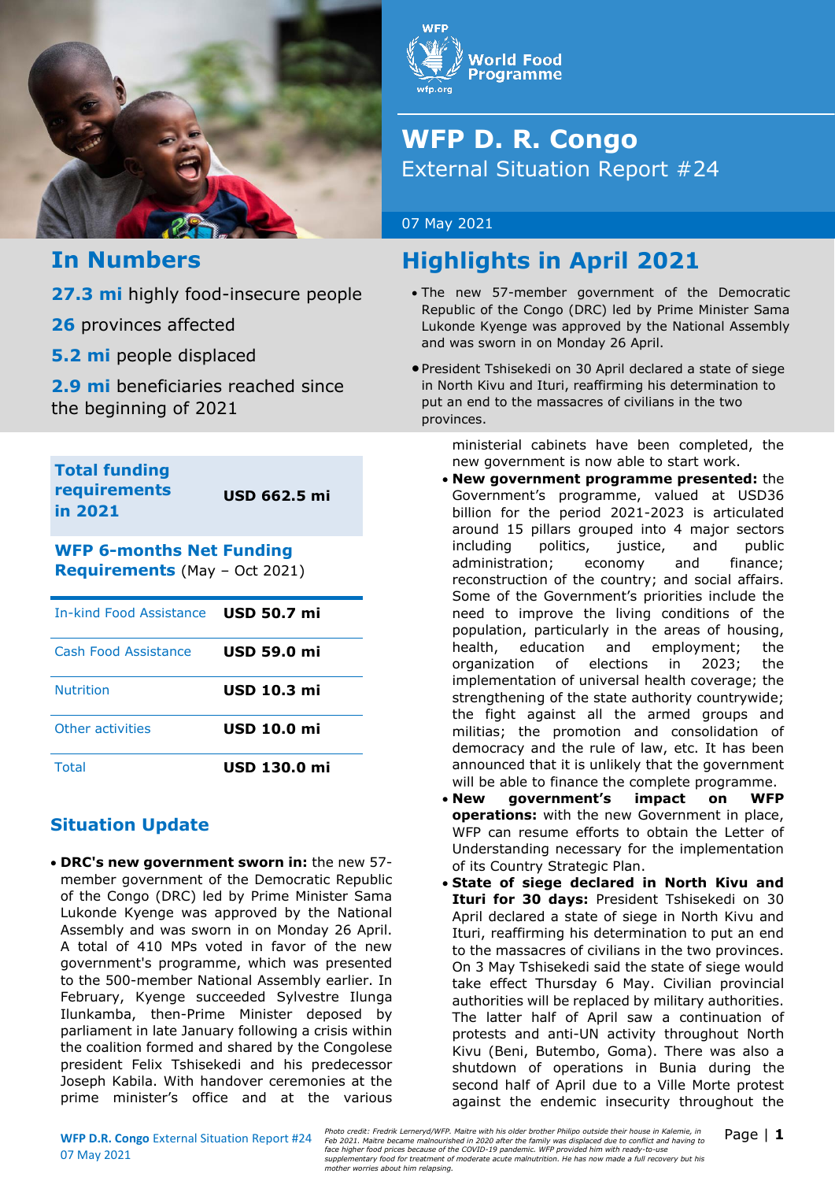

## **In Numbers**

**27.3 mi** highly food-insecure people

**26** provinces affected

**5.2 mi** people displaced

**2.9 mi** beneficiaries reached since the beginning of 2021

**Total funding requirements in 2021**

**USD 662.5 mi**

### **WFP 6-months Net Funding Requirements** (May – Oct 2021)

| In-kind Food Assistance USD 50.7 mi |                     |
|-------------------------------------|---------------------|
| Cash Food Assistance                | <b>USD 59.0 mi</b>  |
| <b>Nutrition</b>                    | <b>USD 10.3 mi</b>  |
| Other activities                    | <b>USD 10.0 mi</b>  |
| Total                               | <b>USD 130.0 mi</b> |

### **Situation Update**

• **DRC's new government sworn in:** the new 57 member government of the Democratic Republic of the Congo (DRC) led by Prime Minister Sama Lukonde Kyenge was approved by the National Assembly and was sworn in on Monday 26 April. A total of 410 MPs voted in favor of the new government's programme, which was presented to the 500-member National Assembly earlier. In February, Kyenge succeeded Sylvestre Ilunga Ilunkamba, then-Prime Minister deposed by parliament in late January following a crisis within the coalition formed and shared by the Congolese president Felix Tshisekedi and his predecessor Joseph Kabila. With handover ceremonies at the prime minister's office and at the various



**World Food Programme** 

## **WFP D. R. Congo** External Situation Report #24

#### 07 May 2021

## **Highlights in April 2021**

- The new 57-member government of the Democratic Republic of the Congo (DRC) led by Prime Minister Sama Lukonde Kyenge was approved by the National Assembly and was sworn in on Monday 26 April.
- President Tshisekedi on 30 April declared a state of siege in North Kivu and Ituri, reaffirming his determination to put an end to the massacres of civilians in the two provinces.

ministerial cabinets have been completed, the new government is now able to start work.

- **New government programme presented:** the Government's programme, valued at USD36 billion for the period 2021-2023 is articulated around 15 pillars grouped into 4 major sectors including politics, justice, and public administration; economy and finance; reconstruction of the country; and social affairs. Some of the Government's priorities include the need to improve the living conditions of the population, particularly in the areas of housing, health, education and employment; the organization of elections in 2023; the implementation of universal health coverage; the strengthening of the state authority countrywide; the fight against all the armed groups and militias; the promotion and consolidation of democracy and the rule of law, etc. It has been announced that it is unlikely that the government will be able to finance the complete programme.
- **New government's impact on WFP operations:** with the new Government in place, WFP can resume efforts to obtain the Letter of Understanding necessary for the implementation of its Country Strategic Plan.
- **State of siege declared in North Kivu and Ituri for 30 days:** President Tshisekedi on 30 April declared a state of siege in North Kivu and Ituri, reaffirming his determination to put an end to the massacres of civilians in the two provinces. On 3 May Tshisekedi said the state of siege would take effect Thursday 6 May. Civilian provincial authorities will be replaced by military authorities. The latter half of April saw a continuation of protests and anti-UN activity throughout North Kivu (Beni, Butembo, Goma). There was also a shutdown of operations in Bunia during the second half of April due to a Ville Morte protest against the endemic insecurity throughout the

WFP D.R. Congo External Situation Report #24 Fhoto credit: Fredrik Lerneryd/WFP. Maitre with his older brother Philipo outside their house in Kalemie, in Page | 1<br>Pace higher booking to a face higher booking from the COVI *Photo credit: Fredrik Lerneryd/WFP. Maitre with his older brother Philipo outside their house in Kalemie, in supplementary food for treatment of moderate acute malnutrition. He has now made a full recovery but his mother worries about him relapsing.*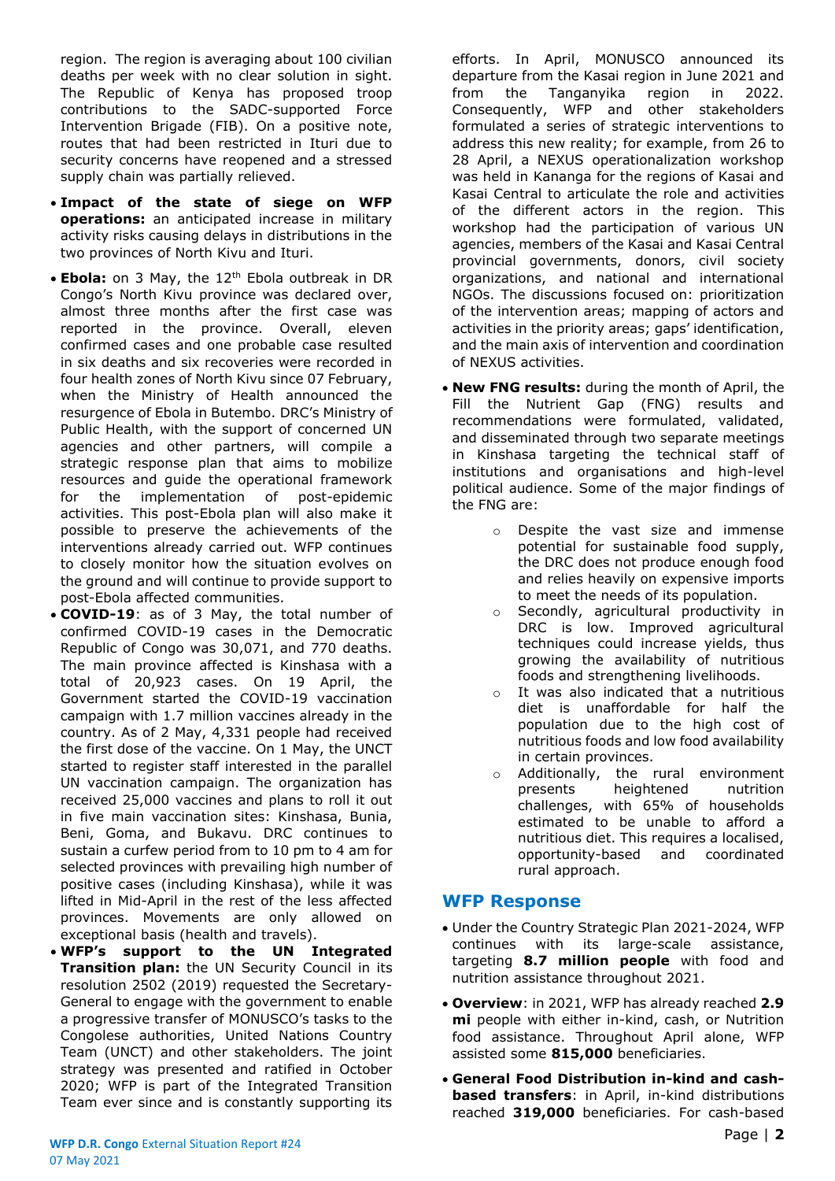region. The region is averaging about 100 civilian deaths per week with no clear solution in sight. The Republic of Kenya has proposed troop contributions to the SADC-supported Force Intervention Brigade (FIB). On a positive note, routes that had been restricted in Ituri due to security concerns have reopened and a stressed supply chain was partially relieved.

- **Impact of the state of siege on WFP operations:** an anticipated increase in military activity risks causing delays in distributions in the two provinces of North Kivu and Ituri.
- **Ebola:** on 3 May, the 12<sup>th</sup> Ebola outbreak in DR Congo's North Kivu province was declared over, almost three months after the first case was reported in the province. Overall, eleven confirmed cases and one probable case resulted in six deaths and six recoveries were recorded in four health zones of North Kivu since 07 February, when the Ministry of Health announced the resurgence of Ebola in Butembo. DRC's Ministry of Public Health, with the support of concerned UN agencies and other partners, will compile a strategic response plan that aims to mobilize resources and guide the operational framework for the implementation of post-epidemic activities. This post-Ebola plan will also make it possible to preserve the achievements of the interventions already carried out. WFP continues to closely monitor how the situation evolves on the ground and will continue to provide support to post-Ebola affected communities.
- **COVID-19**: as of 3 May, the total number of confirmed COVID-19 cases in the Democratic Republic of Congo was 30,071, and 770 deaths. The main province affected is Kinshasa with a total of 20,923 cases. On 19 April, the Government started the COVID-19 vaccination campaign with 1.7 million vaccines already in the country. As of 2 May, 4,331 people had received the first dose of the vaccine. On 1 May, the UNCT started to register staff interested in the parallel UN vaccination campaign. The organization has received 25,000 vaccines and plans to roll it out in five main vaccination sites: Kinshasa, Bunia, Beni, Goma, and Bukavu. DRC continues to sustain a curfew period from to 10 pm to 4 am for selected provinces with prevailing high number of positive cases (including Kinshasa), while it was lifted in Mid-April in the rest of the less affected provinces. Movements are only allowed on exceptional basis (health and travels).
- **WFP's support to the UN Integrated Transition plan:** the UN Security Council in its resolution 2502 (2019) requested the Secretary-General to engage with the government to enable a progressive transfer of MONUSCO's tasks to the Congolese authorities, United Nations Country Team (UNCT) and other stakeholders. The joint strategy was presented and ratified in October 2020; WFP is part of the Integrated Transition Team ever since and is constantly supporting its

efforts. In April, MONUSCO announced its departure from the Kasai region in June 2021 and from the Tanganyika region in 2022. Consequently, WFP and other stakeholders formulated a series of strategic interventions to address this new reality; for example, from 26 to 28 April, a NEXUS operationalization workshop was held in Kananga for the regions of Kasai and Kasai Central to articulate the role and activities of the different actors in the region. This workshop had the participation of various UN agencies, members of the Kasai and Kasai Central provincial governments, donors, civil society organizations, and national and international NGOs. The discussions focused on: prioritization of the intervention areas; mapping of actors and activities in the priority areas; gaps' identification, and the main axis of intervention and coordination of NEXUS activities.

- **New FNG results:** during the month of April, the Fill the Nutrient Gap (FNG) results and recommendations were formulated, validated, and disseminated through two separate meetings in Kinshasa targeting the technical staff of institutions and organisations and high-level political audience. Some of the major findings of the FNG are:
	- o Despite the vast size and immense potential for sustainable food supply, the DRC does not produce enough food and relies heavily on expensive imports to meet the needs of its population.
	- o Secondly, agricultural productivity in DRC is low. Improved agricultural techniques could increase yields, thus growing the availability of nutritious foods and strengthening livelihoods.
	- o It was also indicated that a nutritious diet is unaffordable for half the population due to the high cost of nutritious foods and low food availability in certain provinces.
	- o Additionally, the rural environment presents heightened nutrition challenges, with 65% of households estimated to be unable to afford a nutritious diet. This requires a localised, opportunity-based and coordinated rural approach.

#### **WFP Response**

- Under the Country Strategic Plan 2021-2024, WFP continues with its large-scale assistance, targeting **8.7 million people** with food and nutrition assistance throughout 2021.
- **Overview**: in 2021, WFP has already reached **2.9 mi** people with either in-kind, cash, or Nutrition food assistance. Throughout April alone, WFP assisted some **815,000** beneficiaries.
- **General Food Distribution in-kind and cashbased transfers**: in April, in-kind distributions reached **319,000** beneficiaries. For cash-based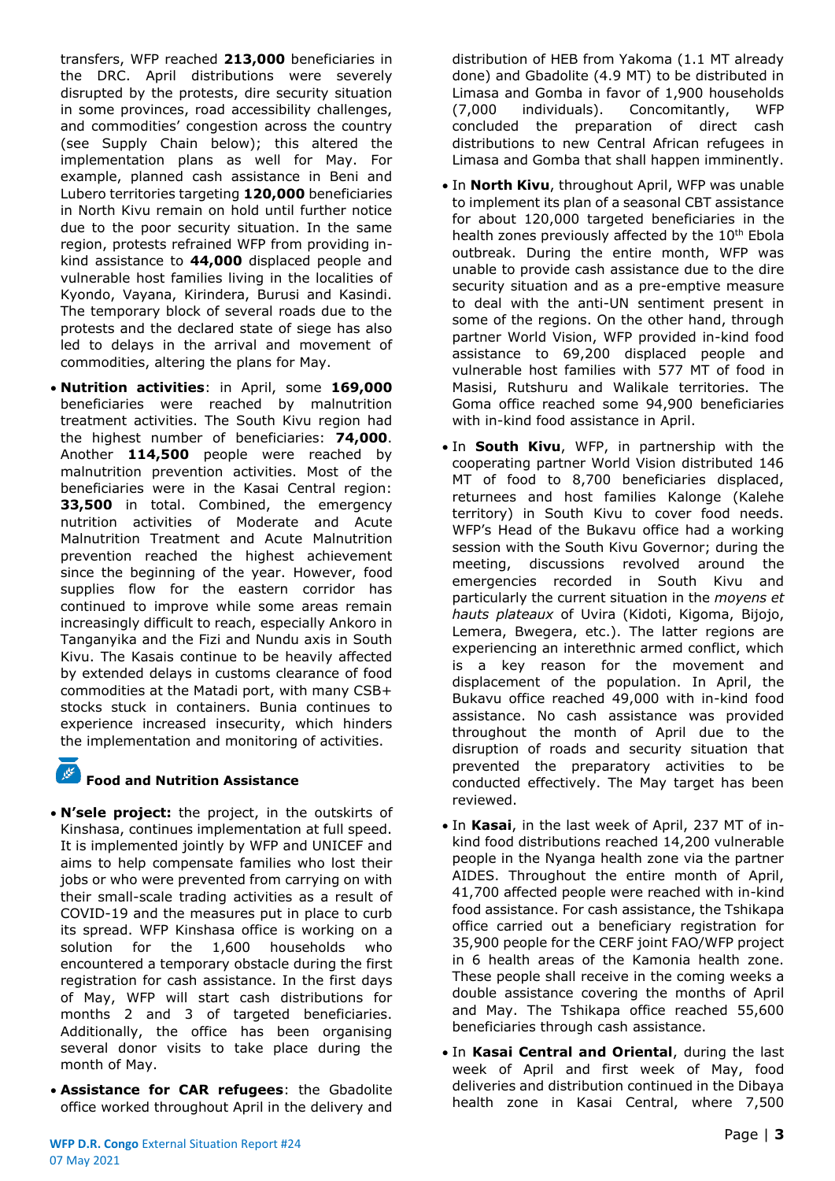transfers, WFP reached **213,000** beneficiaries in the DRC. April distributions were severely disrupted by the protests, dire security situation in some provinces, road accessibility challenges, and commodities' congestion across the country (see Supply Chain below); this altered the implementation plans as well for May. For example, planned cash assistance in Beni and Lubero territories targeting **120,000** beneficiaries in North Kivu remain on hold until further notice due to the poor security situation. In the same region, protests refrained WFP from providing inkind assistance to **44,000** displaced people and vulnerable host families living in the localities of Kyondo, Vayana, Kirindera, Burusi and Kasindi. The temporary block of several roads due to the protests and the declared state of siege has also led to delays in the arrival and movement of commodities, altering the plans for May.

• **Nutrition activities**: in April, some **169,000** beneficiaries were reached by malnutrition treatment activities. The South Kivu region had the highest number of beneficiaries: **74,000**. Another **114,500** people were reached by malnutrition prevention activities. Most of the beneficiaries were in the Kasai Central region: **33,500** in total. Combined, the emergency nutrition activities of Moderate and Acute Malnutrition Treatment and Acute Malnutrition prevention reached the highest achievement since the beginning of the year. However, food supplies flow for the eastern corridor has continued to improve while some areas remain increasingly difficult to reach, especially Ankoro in Tanganyika and the Fizi and Nundu axis in South Kivu. The Kasais continue to be heavily affected by extended delays in customs clearance of food commodities at the Matadi port, with many CSB+ stocks stuck in containers. Bunia continues to experience increased insecurity, which hinders the implementation and monitoring of activities.

### **Food and Nutrition Assistance**

- **N'sele project:** the project, in the outskirts of Kinshasa, continues implementation at full speed. It is implemented jointly by WFP and UNICEF and aims to help compensate families who lost their jobs or who were prevented from carrying on with their small-scale trading activities as a result of COVID-19 and the measures put in place to curb its spread. WFP Kinshasa office is working on a solution for the 1,600 households who encountered a temporary obstacle during the first registration for cash assistance. In the first days of May, WFP will start cash distributions for months 2 and 3 of targeted beneficiaries. Additionally, the office has been organising several donor visits to take place during the month of May.
- **Assistance for CAR refugees**: the Gbadolite office worked throughout April in the delivery and

distribution of HEB from Yakoma (1.1 MT already done) and Gbadolite (4.9 MT) to be distributed in Limasa and Gomba in favor of 1,900 households (7,000 individuals). Concomitantly, WFP concluded the preparation of direct cash distributions to new Central African refugees in Limasa and Gomba that shall happen imminently.

- In **North Kivu**, throughout April, WFP was unable to implement its plan of a seasonal CBT assistance for about 120,000 targeted beneficiaries in the health zones previously affected by the 10<sup>th</sup> Ebola outbreak. During the entire month, WFP was unable to provide cash assistance due to the dire security situation and as a pre-emptive measure to deal with the anti-UN sentiment present in some of the regions. On the other hand, through partner World Vision, WFP provided in-kind food assistance to 69,200 displaced people and vulnerable host families with 577 MT of food in Masisi, Rutshuru and Walikale territories. The Goma office reached some 94,900 beneficiaries with in-kind food assistance in April.
- In **South Kivu**, WFP, in partnership with the cooperating partner World Vision distributed 146 MT of food to 8,700 beneficiaries displaced, returnees and host families Kalonge (Kalehe territory) in South Kivu to cover food needs. WFP's Head of the Bukavu office had a working session with the South Kivu Governor; during the meeting, discussions revolved around the emergencies recorded in South Kivu and particularly the current situation in the *moyens et hauts plateaux* of Uvira (Kidoti, Kigoma, Bijojo, Lemera, Bwegera, etc.). The latter regions are experiencing an interethnic armed conflict, which is a key reason for the movement and displacement of the population. In April, the Bukavu office reached 49,000 with in-kind food assistance. No cash assistance was provided throughout the month of April due to the disruption of roads and security situation that prevented the preparatory activities to be conducted effectively. The May target has been reviewed.
- In **Kasai**, in the last week of April, 237 MT of inkind food distributions reached 14,200 vulnerable people in the Nyanga health zone via the partner AIDES. Throughout the entire month of April, 41,700 affected people were reached with in-kind food assistance. For cash assistance, the Tshikapa office carried out a beneficiary registration for 35,900 people for the CERF joint FAO/WFP project in 6 health areas of the Kamonia health zone. These people shall receive in the coming weeks a double assistance covering the months of April and May. The Tshikapa office reached 55,600 beneficiaries through cash assistance.
- In **Kasai Central and Oriental**, during the last week of April and first week of May, food deliveries and distribution continued in the Dibaya health zone in Kasai Central, where 7,500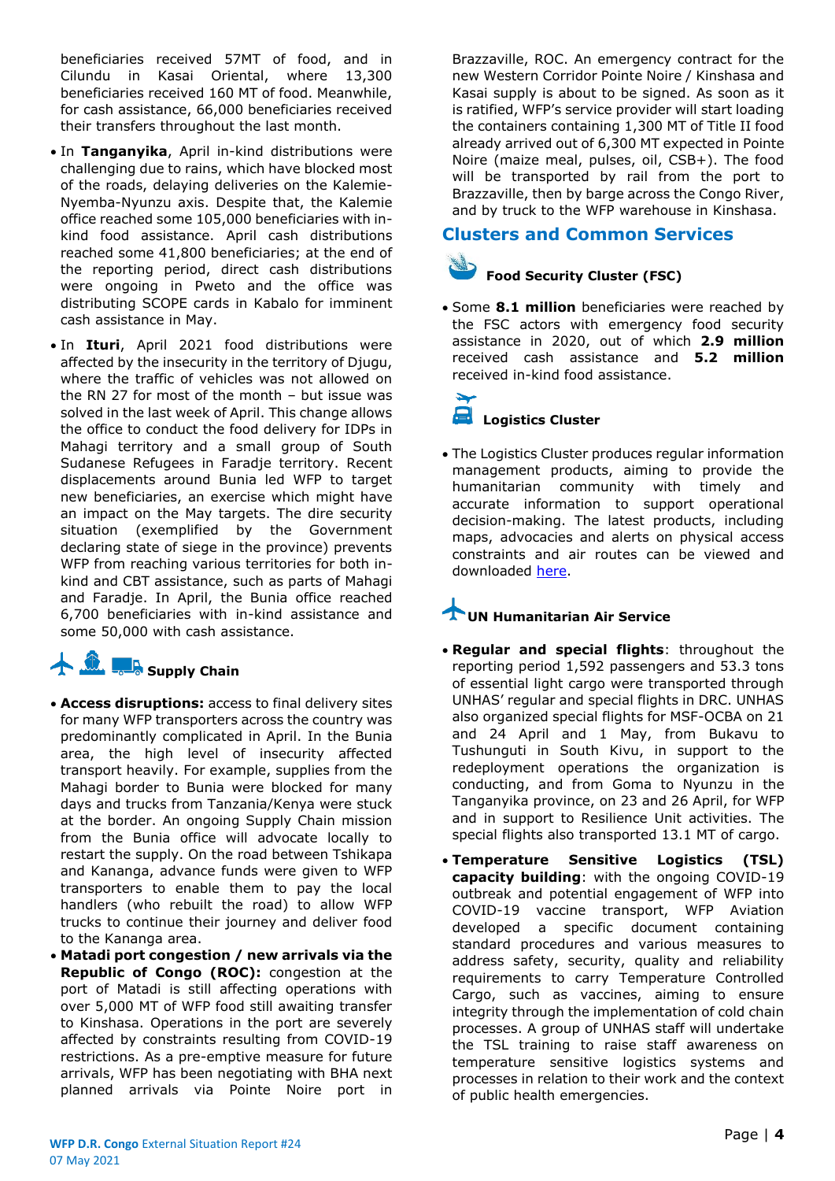beneficiaries received 57MT of food, and in Cilundu in Kasai Oriental, where 13,300 beneficiaries received 160 MT of food. Meanwhile, for cash assistance, 66,000 beneficiaries received their transfers throughout the last month.

- In **Tanganyika**, April in-kind distributions were challenging due to rains, which have blocked most of the roads, delaying deliveries on the Kalemie-Nyemba-Nyunzu axis. Despite that, the Kalemie office reached some 105,000 beneficiaries with inkind food assistance. April cash distributions reached some 41,800 beneficiaries; at the end of the reporting period, direct cash distributions were ongoing in Pweto and the office was distributing SCOPE cards in Kabalo for imminent cash assistance in May.
- In **Ituri**, April 2021 food distributions were affected by the insecurity in the territory of Djugu, where the traffic of vehicles was not allowed on the RN 27 for most of the month – but issue was solved in the last week of April. This change allows the office to conduct the food delivery for IDPs in Mahagi territory and a small group of South Sudanese Refugees in Faradje territory. Recent displacements around Bunia led WFP to target new beneficiaries, an exercise which might have an impact on the May targets. The dire security situation (exemplified by the Government declaring state of siege in the province) prevents WFP from reaching various territories for both inkind and CBT assistance, such as parts of Mahagi and Faradje. In April, the Bunia office reached 6,700 beneficiaries with in-kind assistance and some 50,000 with cash assistance.

# **A Supply Chain**

- **Access disruptions:** access to final delivery sites for many WFP transporters across the country was predominantly complicated in April. In the Bunia area, the high level of insecurity affected transport heavily. For example, supplies from the Mahagi border to Bunia were blocked for many days and trucks from Tanzania/Kenya were stuck at the border. An ongoing Supply Chain mission from the Bunia office will advocate locally to restart the supply. On the road between Tshikapa and Kananga, advance funds were given to WFP transporters to enable them to pay the local handlers (who rebuilt the road) to allow WFP trucks to continue their journey and deliver food to the Kananga area.
- **Matadi port congestion / new arrivals via the Republic of Congo (ROC):** congestion at the port of Matadi is still affecting operations with over 5,000 MT of WFP food still awaiting transfer to Kinshasa. Operations in the port are severely affected by constraints resulting from COVID-19 restrictions. As a pre-emptive measure for future arrivals, WFP has been negotiating with BHA next planned arrivals via Pointe Noire port in

Brazzaville, ROC. An emergency contract for the new Western Corridor Pointe Noire / Kinshasa and Kasai supply is about to be signed. As soon as it is ratified, WFP's service provider will start loading the containers containing 1,300 MT of Title II food already arrived out of 6,300 MT expected in Pointe Noire (maize meal, pulses, oil, CSB+). The food will be transported by rail from the port to Brazzaville, then by barge across the Congo River, and by truck to the WFP warehouse in Kinshasa.

### **Clusters and Common Services**

## **Food Security Cluster (FSC)**

• Some **8.1 million** beneficiaries were reached by the FSC actors with emergency food security assistance in 2020, out of which **2.9 million** received cash assistance and **5.2 million** received in-kind food assistance.

# **Logistics Cluster**

• The Logistics Cluster produces regular information management products, aiming to provide the humanitarian community with timely and accurate information to support operational decision-making. The latest products, including maps, advocacies and alerts on physical access constraints and air routes can be viewed and downloaded [here.](https://logcluster.org/ops/drc)

## **UN Humanitarian Air Service**

- **Regular and special flights**: throughout the reporting period 1,592 passengers and 53.3 tons of essential light cargo were transported through UNHAS' regular and special flights in DRC. UNHAS also organized special flights for MSF-OCBA on 21 and 24 April and 1 May, from Bukavu to Tushunguti in South Kivu, in support to the redeployment operations the organization is conducting, and from Goma to Nyunzu in the Tanganyika province, on 23 and 26 April, for WFP and in support to Resilience Unit activities. The special flights also transported 13.1 MT of cargo.
- **Temperature Sensitive Logistics (TSL) capacity building**: with the ongoing COVID-19 outbreak and potential engagement of WFP into COVID-19 vaccine transport, WFP Aviation developed a specific document containing standard procedures and various measures to address safety, security, quality and reliability requirements to carry Temperature Controlled Cargo, such as vaccines, aiming to ensure integrity through the implementation of cold chain processes. A group of UNHAS staff will undertake the TSL training to raise staff awareness on temperature sensitive logistics systems and processes in relation to their work and the context of public health emergencies.